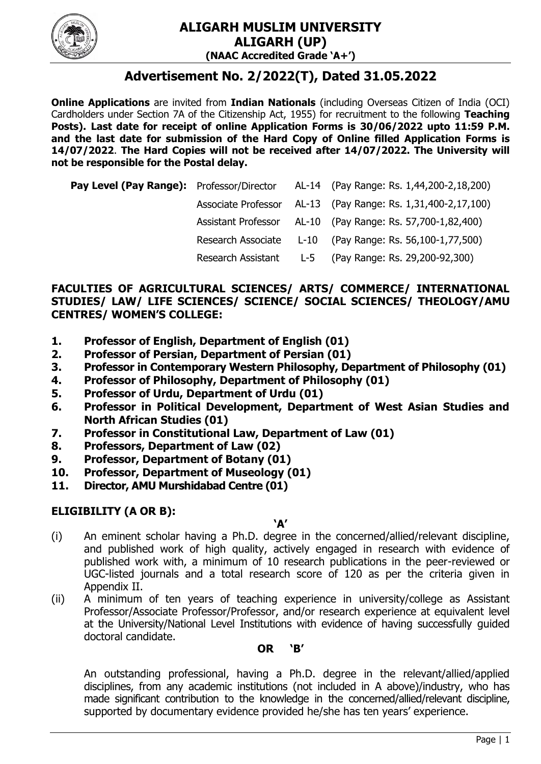

# **Advertisement No. 2/2022(T), Dated 31.05.2022**

**Online Applications** are invited from **Indian Nationals** (including Overseas Citizen of India (OCI) Cardholders under Section 7A of the Citizenship Act, 1955) for recruitment to the following **Teaching Posts). Last date for receipt of online Application Forms is 30/06/2022 upto 11:59 P.M. and the last date for submission of the Hard Copy of Online filled Application Forms is 14/07/2022**. **The Hard Copies will not be received after 14/07/2022. The University will not be responsible for the Postal delay.**

|  | <b>Pay Level (Pay Range):</b> Professor/Director AL-14 (Pay Range: Rs. 1,44,200-2,18,200) |
|--|-------------------------------------------------------------------------------------------|
|  | Associate Professor AL-13 (Pay Range: Rs. 1,31,400-2,17,100)                              |
|  | Assistant Professor AL-10 (Pay Range: Rs. 57,700-1,82,400)                                |
|  | Research Associate L-10 (Pay Range: Rs. 56,100-1,77,500)                                  |
|  | Research Assistant L-5 (Pay Range: Rs. 29,200-92,300)                                     |

#### **FACULTIES OF AGRICULTURAL SCIENCES/ ARTS/ COMMERCE/ INTERNATIONAL STUDIES/ LAW/ LIFE SCIENCES/ SCIENCE/ SOCIAL SCIENCES/ THEOLOGY/AMU CENTRES/ WOMEN'S COLLEGE:**

- **1. Professor of English, Department of English (01)**
- **2. Professor of Persian, Department of Persian (01)**
- **3. Professor in Contemporary Western Philosophy, Department of Philosophy (01)**
- **4. Professor of Philosophy, Department of Philosophy (01)**
- **5. Professor of Urdu, Department of Urdu (01)**
- **6. Professor in Political Development, Department of West Asian Studies and North African Studies (01)**
- **7. Professor in Constitutional Law, Department of Law (01)**
- **8. Professors, Department of Law (02)**
- **9. Professor, Department of Botany (01)**
- **10. Professor, Department of Museology (01)**
- **11. Director, AMU Murshidabad Centre (01)**

#### **ELIGIBILITY (A OR B):**

#### **'A'**

- (i) An eminent scholar having a Ph.D. degree in the concerned/allied/relevant discipline, and published work of high quality, actively engaged in research with evidence of published work with, a minimum of 10 research publications in the peer-reviewed or UGC-listed journals and a total research score of 120 as per the criteria given in Appendix II.
- (ii) A minimum of ten years of teaching experience in university/college as Assistant Professor/Associate Professor/Professor, and/or research experience at equivalent level at the University/National Level Institutions with evidence of having successfully guided doctoral candidate.

#### **OR 'B'**

An outstanding professional, having a Ph.D. degree in the relevant/allied/applied disciplines, from any academic institutions (not included in A above)/industry, who has made significant contribution to the knowledge in the concerned/allied/relevant discipline, supported by documentary evidence provided he/she has ten years' experience.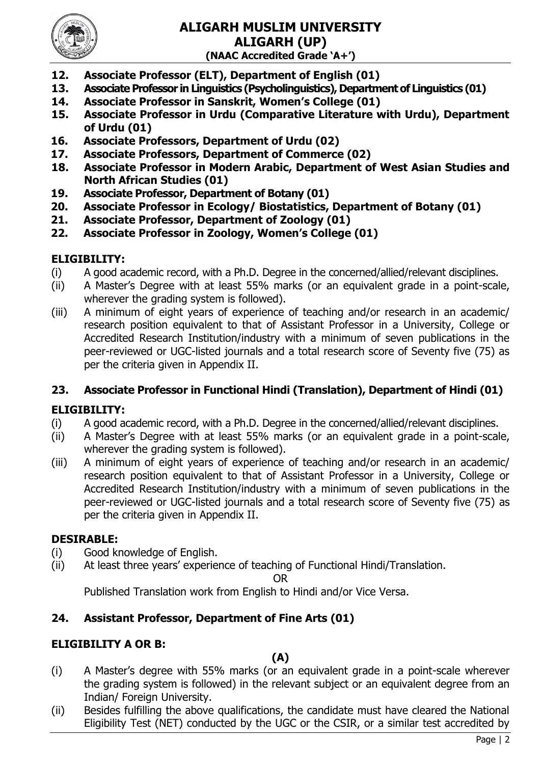

- **12. Associate Professor (ELT), Department of English (01)**
- **13. Associate Professor in Linguistics (Psycholinguistics), Department of Linguistics (01)**
- **14. Associate Professor in Sanskrit, Women's College (01)**
- **15. Associate Professor in Urdu (Comparative Literature with Urdu), Department of Urdu (01)**
- **16. Associate Professors, Department of Urdu (02)**
- **17. Associate Professors, Department of Commerce (02)**
- **18. Associate Professor in Modern Arabic, Department of West Asian Studies and North African Studies (01)**
- **19. Associate Professor, Department of Botany (01)**
- **20. Associate Professor in Ecology/ Biostatistics, Department of Botany (01)**
- **21. Associate Professor, Department of Zoology (01)**
- **22. Associate Professor in Zoology, Women's College (01)**

# **ELIGIBILITY:**

- (i) A good academic record, with a Ph.D. Degree in the concerned/allied/relevant disciplines.
- (ii) A Master"s Degree with at least 55% marks (or an equivalent grade in a point-scale, wherever the grading system is followed).
- (iii) A minimum of eight years of experience of teaching and/or research in an academic/ research position equivalent to that of Assistant Professor in a University, College or Accredited Research Institution/industry with a minimum of seven publications in the peer-reviewed or UGC-listed journals and a total research score of Seventy five (75) as per the criteria given in Appendix II.

# **23. Associate Professor in Functional Hindi (Translation), Department of Hindi (01)**

# **ELIGIBILITY:**

- (i) A good academic record, with a Ph.D. Degree in the concerned/allied/relevant disciplines.
- (ii) A Master"s Degree with at least 55% marks (or an equivalent grade in a point-scale, wherever the grading system is followed).
- (iii) A minimum of eight years of experience of teaching and/or research in an academic/ research position equivalent to that of Assistant Professor in a University, College or Accredited Research Institution/industry with a minimum of seven publications in the peer-reviewed or UGC-listed journals and a total research score of Seventy five (75) as per the criteria given in Appendix II.

# **DESIRABLE:**

- (i) Good knowledge of English.
- (ii) At least three years" experience of teaching of Functional Hindi/Translation.

OR

Published Translation work from English to Hindi and/or Vice Versa.

# **24. Assistant Professor, Department of Fine Arts (01)**

# **ELIGIBILITY A OR B:**

# **(A)**

- (i) A Master"s degree with 55% marks (or an equivalent grade in a point-scale wherever the grading system is followed) in the relevant subject or an equivalent degree from an Indian/ Foreign University.
- (ii) Besides fulfilling the above qualifications, the candidate must have cleared the National Eligibility Test (NET) conducted by the UGC or the CSIR, or a similar test accredited by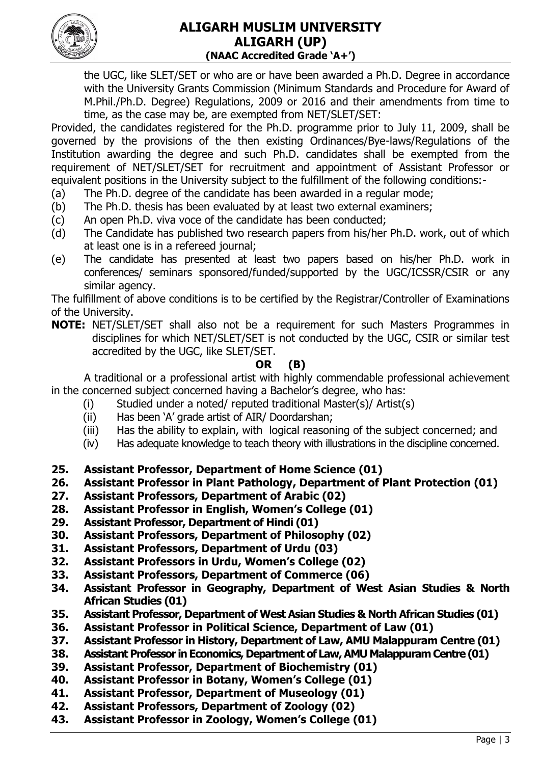

the UGC, like SLET/SET or who are or have been awarded a Ph.D. Degree in accordance with the University Grants Commission (Minimum Standards and Procedure for Award of M.Phil./Ph.D. Degree) Regulations, 2009 or 2016 and their amendments from time to time, as the case may be, are exempted from NET/SLET/SET:

Provided, the candidates registered for the Ph.D. programme prior to July 11, 2009, shall be governed by the provisions of the then existing Ordinances/Bye-laws/Regulations of the Institution awarding the degree and such Ph.D. candidates shall be exempted from the requirement of NET/SLET/SET for recruitment and appointment of Assistant Professor or equivalent positions in the University subject to the fulfillment of the following conditions:-

- (a) The Ph.D. degree of the candidate has been awarded in a regular mode;
- (b) The Ph.D. thesis has been evaluated by at least two external examiners;
- (c) An open Ph.D. viva voce of the candidate has been conducted;
- (d) The Candidate has published two research papers from his/her Ph.D. work, out of which at least one is in a refereed journal;
- (e) The candidate has presented at least two papers based on his/her Ph.D. work in conferences/ seminars sponsored/funded/supported by the UGC/ICSSR/CSIR or any similar agency.

The fulfillment of above conditions is to be certified by the Registrar/Controller of Examinations of the University.

**NOTE:** NET/SLET/SET shall also not be a requirement for such Masters Programmes in disciplines for which NET/SLET/SET is not conducted by the UGC, CSIR or similar test accredited by the UGC, like SLET/SET.

### **OR (B)**

A traditional or a professional artist with highly commendable professional achievement in the concerned subject concerned having a Bachelor's degree, who has:

- (i) Studied under a noted/ reputed traditional Master(s)/ Artist(s)
- (ii) Has been "A" grade artist of AIR/ Doordarshan;
- (iii) Has the ability to explain, with logical reasoning of the subject concerned; and
- (iv) Has adequate knowledge to teach theory with illustrations in the discipline concerned.
- **25. Assistant Professor, Department of Home Science (01)**
- **26. Assistant Professor in Plant Pathology, Department of Plant Protection (01)**
- **27. Assistant Professors, Department of Arabic (02)**
- **28. Assistant Professor in English, Women's College (01)**
- **29. Assistant Professor, Department of Hindi (01)**
- **30. Assistant Professors, Department of Philosophy (02)**
- **31. Assistant Professors, Department of Urdu (03)**
- **32. Assistant Professors in Urdu, Women's College (02)**
- **33. Assistant Professors, Department of Commerce (06)**
- **34. Assistant Professor in Geography, Department of West Asian Studies & North African Studies (01)**
- **35. Assistant Professor, Department of West Asian Studies & North African Studies (01)**
- **36. Assistant Professor in Political Science, Department of Law (01)**
- **37. Assistant Professor in History, Department of Law, AMU Malappuram Centre (01)**
- **38. Assistant Professor in Economics, Department of Law, AMU Malappuram Centre (01)**
- **39. Assistant Professor, Department of Biochemistry (01)**
- **40. Assistant Professor in Botany, Women's College (01)**
- **41. Assistant Professor, Department of Museology (01)**
- **42. Assistant Professors, Department of Zoology (02)**
- **43. Assistant Professor in Zoology, Women's College (01)**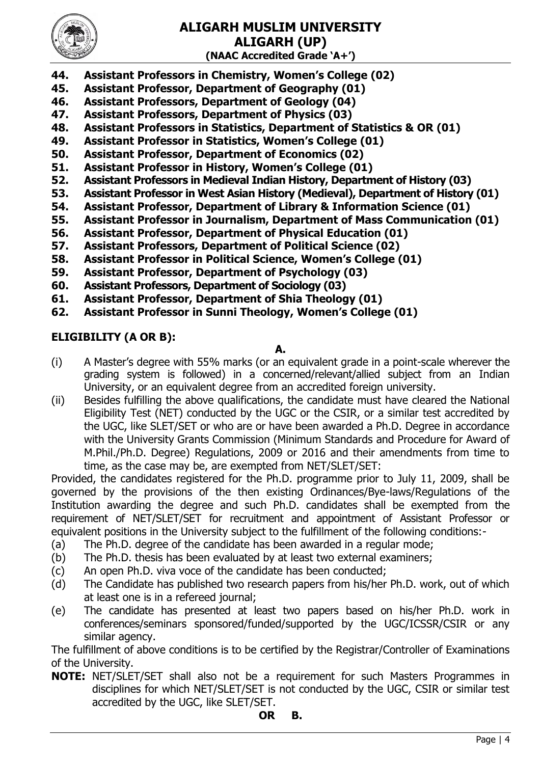

- **44. Assistant Professors in Chemistry, Women's College (02)**
- **45. Assistant Professor, Department of Geography (01)**
- **46. Assistant Professors, Department of Geology (04)**
- **47. Assistant Professors, Department of Physics (03)**
- **48. Assistant Professors in Statistics, Department of Statistics & OR (01)**
- **49. Assistant Professor in Statistics, Women's College (01)**
- **50. Assistant Professor, Department of Economics (02)**
- **51. Assistant Professor in History, Women's College (01)**
- **52. Assistant Professors in Medieval Indian History, Department of History (03)**
- **53. Assistant Professor in West Asian History (Medieval), Department of History (01)**
- **54. Assistant Professor, Department of Library & Information Science (01)**
- **55. Assistant Professor in Journalism, Department of Mass Communication (01)**
- **56. Assistant Professor, Department of Physical Education (01)**
- **57. Assistant Professors, Department of Political Science (02)**
- **58. Assistant Professor in Political Science, Women's College (01)**
- **59. Assistant Professor, Department of Psychology (03)**
- **60. Assistant Professors, Department of Sociology (03)**
- **61. Assistant Professor, Department of Shia Theology (01)**
- **62. Assistant Professor in Sunni Theology, Women's College (01)**

#### **ELIGIBILITY (A OR B):**

### **A.**

- (i) A Master"s degree with 55% marks (or an equivalent grade in a point-scale wherever the grading system is followed) in a concerned/relevant/allied subject from an Indian University, or an equivalent degree from an accredited foreign university.
- (ii) Besides fulfilling the above qualifications, the candidate must have cleared the National Eligibility Test (NET) conducted by the UGC or the CSIR, or a similar test accredited by the UGC, like SLET/SET or who are or have been awarded a Ph.D. Degree in accordance with the University Grants Commission (Minimum Standards and Procedure for Award of M.Phil./Ph.D. Degree) Regulations, 2009 or 2016 and their amendments from time to time, as the case may be, are exempted from NET/SLET/SET:

Provided, the candidates registered for the Ph.D. programme prior to July 11, 2009, shall be governed by the provisions of the then existing Ordinances/Bye-laws/Regulations of the Institution awarding the degree and such Ph.D. candidates shall be exempted from the requirement of NET/SLET/SET for recruitment and appointment of Assistant Professor or equivalent positions in the University subject to the fulfillment of the following conditions:-

- (a) The Ph.D. degree of the candidate has been awarded in a regular mode;
- (b) The Ph.D. thesis has been evaluated by at least two external examiners;
- (c) An open Ph.D. viva voce of the candidate has been conducted;
- (d) The Candidate has published two research papers from his/her Ph.D. work, out of which at least one is in a refereed journal;
- (e) The candidate has presented at least two papers based on his/her Ph.D. work in conferences/seminars sponsored/funded/supported by the UGC/ICSSR/CSIR or any similar agency.

The fulfillment of above conditions is to be certified by the Registrar/Controller of Examinations of the University.

**NOTE:** NET/SLET/SET shall also not be a requirement for such Masters Programmes in disciplines for which NET/SLET/SET is not conducted by the UGC, CSIR or similar test accredited by the UGC, like SLET/SET.

# **OR B.**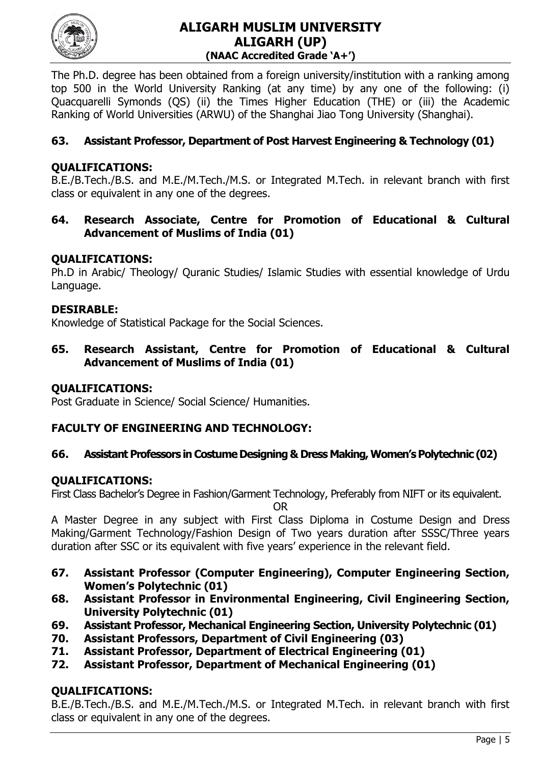

The Ph.D. degree has been obtained from a foreign university/institution with a ranking among top 500 in the World University Ranking (at any time) by any one of the following: (i) Quacquarelli Symonds (QS) (ii) the Times Higher Education (THE) or (iii) the Academic Ranking of World Universities (ARWU) of the Shanghai Jiao Tong University (Shanghai).

# **63. Assistant Professor, Department of Post Harvest Engineering & Technology (01)**

### **QUALIFICATIONS:**

B.E./B.Tech./B.S. and M.E./M.Tech./M.S. or Integrated M.Tech. in relevant branch with first class or equivalent in any one of the degrees.

**64. Research Associate, Centre for Promotion of Educational & Cultural Advancement of Muslims of India (01)**

#### **QUALIFICATIONS:**

Ph.D in Arabic/ Theology/ Quranic Studies/ Islamic Studies with essential knowledge of Urdu Language.

#### **DESIRABLE:**

Knowledge of Statistical Package for the Social Sciences.

**65. Research Assistant, Centre for Promotion of Educational & Cultural Advancement of Muslims of India (01)**

#### **QUALIFICATIONS:**

Post Graduate in Science/ Social Science/ Humanities.

#### **FACULTY OF ENGINEERING AND TECHNOLOGY:**

#### **66. Assistant Professors in Costume Designing & Dress Making, Women's Polytechnic (02)**

#### **QUALIFICATIONS:**

First Class Bachelor's Degree in Fashion/Garment Technology, Preferably from NIFT or its equivalent.

OR

A Master Degree in any subject with First Class Diploma in Costume Design and Dress Making/Garment Technology/Fashion Design of Two years duration after SSSC/Three years duration after SSC or its equivalent with five years' experience in the relevant field.

- **67. Assistant Professor (Computer Engineering), Computer Engineering Section, Women's Polytechnic (01)**
- **68. Assistant Professor in Environmental Engineering, Civil Engineering Section, University Polytechnic (01)**
- **69. Assistant Professor, Mechanical Engineering Section, University Polytechnic (01)**
- **70. Assistant Professors, Department of Civil Engineering (03)**
- **71. Assistant Professor, Department of Electrical Engineering (01)**
- **72. Assistant Professor, Department of Mechanical Engineering (01)**

# **QUALIFICATIONS:**

B.E./B.Tech./B.S. and M.E./M.Tech./M.S. or Integrated M.Tech. in relevant branch with first class or equivalent in any one of the degrees.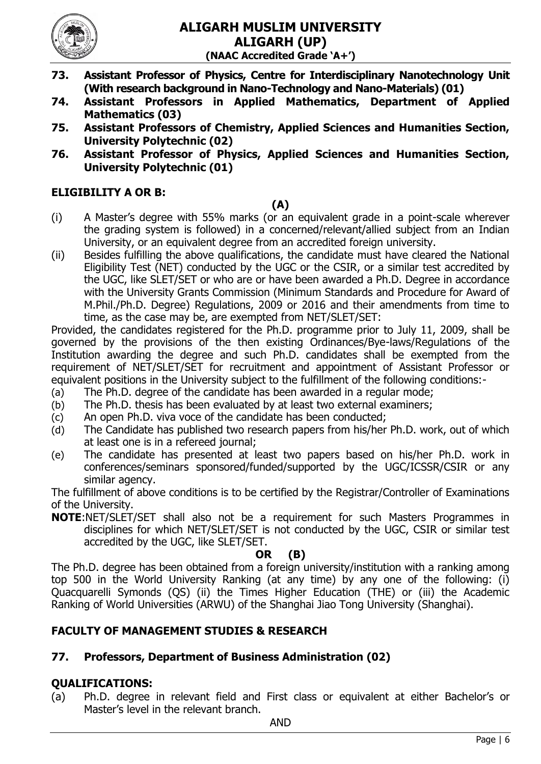

- **73. Assistant Professor of Physics, Centre for Interdisciplinary Nanotechnology Unit (With research background in Nano-Technology and Nano-Materials) (01)**
- **74. Assistant Professors in Applied Mathematics, Department of Applied Mathematics (03)**
- **75. Assistant Professors of Chemistry, Applied Sciences and Humanities Section, University Polytechnic (02)**
- **76. Assistant Professor of Physics, Applied Sciences and Humanities Section, University Polytechnic (01)**

# **ELIGIBILITY A OR B:**

#### **(A)**

- (i) A Master"s degree with 55% marks (or an equivalent grade in a point-scale wherever the grading system is followed) in a concerned/relevant/allied subject from an Indian University, or an equivalent degree from an accredited foreign university.
- (ii) Besides fulfilling the above qualifications, the candidate must have cleared the National Eligibility Test (NET) conducted by the UGC or the CSIR, or a similar test accredited by the UGC, like SLET/SET or who are or have been awarded a Ph.D. Degree in accordance with the University Grants Commission (Minimum Standards and Procedure for Award of M.Phil./Ph.D. Degree) Regulations, 2009 or 2016 and their amendments from time to time, as the case may be, are exempted from NET/SLET/SET:

Provided, the candidates registered for the Ph.D. programme prior to July 11, 2009, shall be governed by the provisions of the then existing Ordinances/Bye-laws/Regulations of the Institution awarding the degree and such Ph.D. candidates shall be exempted from the requirement of NET/SLET/SET for recruitment and appointment of Assistant Professor or equivalent positions in the University subject to the fulfillment of the following conditions:-

- (a) The Ph.D. degree of the candidate has been awarded in a regular mode;
- (b) The Ph.D. thesis has been evaluated by at least two external examiners;
- (c) An open Ph.D. viva voce of the candidate has been conducted;
- (d) The Candidate has published two research papers from his/her Ph.D. work, out of which at least one is in a refereed journal;
- (e) The candidate has presented at least two papers based on his/her Ph.D. work in conferences/seminars sponsored/funded/supported by the UGC/ICSSR/CSIR or any similar agency.

The fulfillment of above conditions is to be certified by the Registrar/Controller of Examinations of the University.

**NOTE**:NET/SLET/SET shall also not be a requirement for such Masters Programmes in disciplines for which NET/SLET/SET is not conducted by the UGC, CSIR or similar test accredited by the UGC, like SLET/SET.

#### **OR (B)**

The Ph.D. degree has been obtained from a foreign university/institution with a ranking among top 500 in the World University Ranking (at any time) by any one of the following: (i) Quacquarelli Symonds (QS) (ii) the Times Higher Education (THE) or (iii) the Academic Ranking of World Universities (ARWU) of the Shanghai Jiao Tong University (Shanghai).

# **FACULTY OF MANAGEMENT STUDIES & RESEARCH**

# **77. Professors, Department of Business Administration (02)**

# **QUALIFICATIONS:**

(a) Ph.D. degree in relevant field and First class or equivalent at either Bachelor"s or Master"s level in the relevant branch.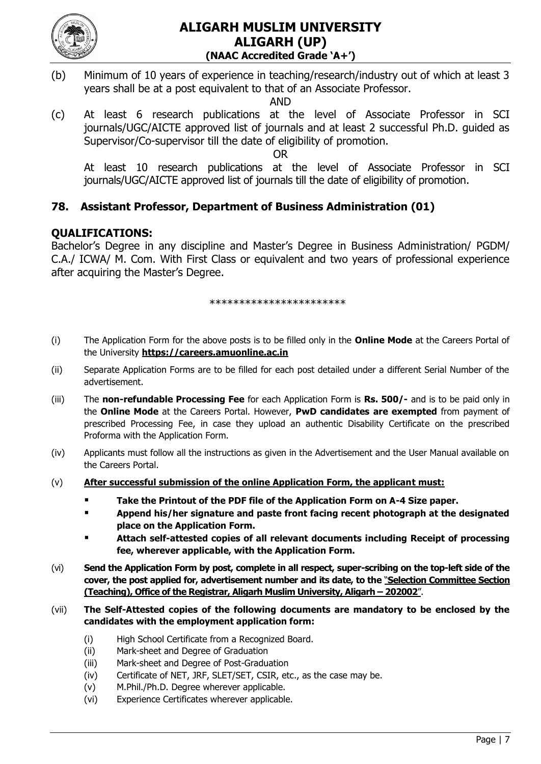

(b) Minimum of 10 years of experience in teaching/research/industry out of which at least 3 years shall be at a post equivalent to that of an Associate Professor.

AND

(c) At least 6 research publications at the level of Associate Professor in SCI journals/UGC/AICTE approved list of journals and at least 2 successful Ph.D. guided as Supervisor/Co-supervisor till the date of eligibility of promotion.

OR

At least 10 research publications at the level of Associate Professor in SCI journals/UGC/AICTE approved list of journals till the date of eligibility of promotion.

# **78. Assistant Professor, Department of Business Administration (01)**

# **QUALIFICATIONS:**

Bachelor"s Degree in any discipline and Master"s Degree in Business Administration/ PGDM/ C.A./ ICWA/ M. Com. With First Class or equivalent and two years of professional experience after acquiring the Master's Degree.

\*\*\*\*\*\*\*\*\*\*\*\*\*\*\*\*\*\*\*\*\*\*\*

- (i) The Application Form for the above posts is to be filled only in the **Online Mode** at the Careers Portal of the University **[https://careers.amuonline.ac.in](https://careers.amuonline.ac.in/)**
- (ii) Separate Application Forms are to be filled for each post detailed under a different Serial Number of the advertisement.
- (iii) The **non-refundable Processing Fee** for each Application Form is **Rs. 500/-** and is to be paid only in the **Online Mode** at the Careers Portal. However, **PwD candidates are exempted** from payment of prescribed Processing Fee, in case they upload an authentic Disability Certificate on the prescribed Proforma with the Application Form.
- (iv) Applicants must follow all the instructions as given in the Advertisement and the User Manual available on the Careers Portal.
- (v) **After successful submission of the online Application Form, the applicant must:**
	- **Take the Printout of the PDF file of the Application Form on A-4 Size paper.**
	- **Append his/her signature and paste front facing recent photograph at the designated place on the Application Form.**
	- **Attach self-attested copies of all relevant documents including Receipt of processing fee, wherever applicable, with the Application Form.**
- (vi) **Send the Application Form by post, complete in all respect, super-scribing on the top-left side of the cover, the post applied for, advertisement number and its date, to the** "**Selection Committee Section (Teaching), Office of the Registrar, Aligarh Muslim University, Aligarh – 202002**".
- (vii) **The Self-Attested copies of the following documents are mandatory to be enclosed by the candidates with the employment application form:**
	- (i) High School Certificate from a Recognized Board.
	- (ii) Mark-sheet and Degree of Graduation
	- (iii) Mark-sheet and Degree of Post-Graduation
	- (iv) Certificate of NET, JRF, SLET/SET, CSIR, etc., as the case may be.
	- (v) M.Phil./Ph.D. Degree wherever applicable.
	- (vi) Experience Certificates wherever applicable.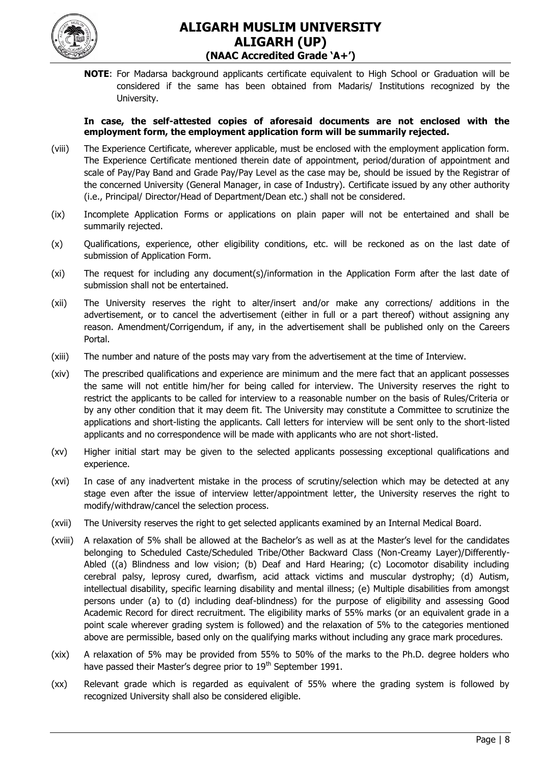

**NOTE**: For Madarsa background applicants certificate equivalent to High School or Graduation will be considered if the same has been obtained from Madaris/ Institutions recognized by the University.

#### **In case, the self-attested copies of aforesaid documents are not enclosed with the employment form, the employment application form will be summarily rejected.**

- (viii) The Experience Certificate, wherever applicable, must be enclosed with the employment application form. The Experience Certificate mentioned therein date of appointment, period/duration of appointment and scale of Pay/Pay Band and Grade Pay/Pay Level as the case may be, should be issued by the Registrar of the concerned University (General Manager, in case of Industry). Certificate issued by any other authority (i.e., Principal/ Director/Head of Department/Dean etc.) shall not be considered.
- (ix) Incomplete Application Forms or applications on plain paper will not be entertained and shall be summarily rejected.
- (x) Qualifications, experience, other eligibility conditions, etc. will be reckoned as on the last date of submission of Application Form.
- (xi) The request for including any document(s)/information in the Application Form after the last date of submission shall not be entertained.
- (xii) The University reserves the right to alter/insert and/or make any corrections/ additions in the advertisement, or to cancel the advertisement (either in full or a part thereof) without assigning any reason. Amendment/Corrigendum, if any, in the advertisement shall be published only on the Careers Portal.
- (xiii) The number and nature of the posts may vary from the advertisement at the time of Interview.
- (xiv) The prescribed qualifications and experience are minimum and the mere fact that an applicant possesses the same will not entitle him/her for being called for interview. The University reserves the right to restrict the applicants to be called for interview to a reasonable number on the basis of Rules/Criteria or by any other condition that it may deem fit. The University may constitute a Committee to scrutinize the applications and short-listing the applicants. Call letters for interview will be sent only to the short-listed applicants and no correspondence will be made with applicants who are not short-listed.
- (xv) Higher initial start may be given to the selected applicants possessing exceptional qualifications and experience.
- (xvi) In case of any inadvertent mistake in the process of scrutiny/selection which may be detected at any stage even after the issue of interview letter/appointment letter, the University reserves the right to modify/withdraw/cancel the selection process.
- (xvii) The University reserves the right to get selected applicants examined by an Internal Medical Board.
- (xviii) A relaxation of 5% shall be allowed at the Bachelor"s as well as at the Master"s level for the candidates belonging to Scheduled Caste/Scheduled Tribe/Other Backward Class (Non-Creamy Layer)/Differently-Abled ((a) Blindness and low vision; (b) Deaf and Hard Hearing; (c) Locomotor disability including cerebral palsy, leprosy cured, dwarfism, acid attack victims and muscular dystrophy; (d) Autism, intellectual disability, specific learning disability and mental illness; (e) Multiple disabilities from amongst persons under (a) to (d) including deaf-blindness) for the purpose of eligibility and assessing Good Academic Record for direct recruitment. The eligibility marks of 55% marks (or an equivalent grade in a point scale wherever grading system is followed) and the relaxation of 5% to the categories mentioned above are permissible, based only on the qualifying marks without including any grace mark procedures.
- (xix) A relaxation of 5% may be provided from 55% to 50% of the marks to the Ph.D. degree holders who have passed their Master's degree prior to 19<sup>th</sup> September 1991.
- (xx) Relevant grade which is regarded as equivalent of 55% where the grading system is followed by recognized University shall also be considered eligible.